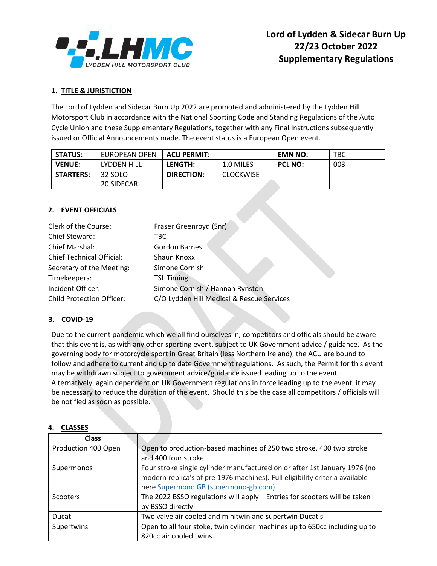

#### **1. TITLE & JURISTICTION**

The Lord of Lydden and Sidecar Burn Up 2022 are promoted and administered by the Lydden Hill Motorsport Club in accordance with the National Sporting Code and Standing Regulations of the Auto Cycle Union and these Supplementary Regulations, together with any Final Instructions subsequently issued or Official Announcements made. The event status is a European Open event.

| <b>STATUS:</b>   | EUROPEAN OPEN | <b>ACU PERMIT:</b> |                  | <b>EMN NO:</b> | <b>TBC</b> |
|------------------|---------------|--------------------|------------------|----------------|------------|
| <b>VENUE:</b>    | LYDDEN HILL   | <b>LENGTH:</b>     | 1.0 MILES        | <b>PCL NO:</b> | 003        |
| <b>STARTERS:</b> | 32 SOLO       | DIRECTION:         | <b>CLOCKWISE</b> |                |            |
|                  | 20 SIDECAR    |                    |                  |                |            |

#### **2. EVENT OFFICIALS**

| Clerk of the Course:             | Fraser Greenroyd (Snr)                    |
|----------------------------------|-------------------------------------------|
| Chief Steward:                   | TBC.                                      |
| <b>Chief Marshal:</b>            | <b>Gordon Barnes</b>                      |
| <b>Chief Technical Official:</b> | Shaun Knoxx                               |
| Secretary of the Meeting:        | Simone Cornish                            |
| Timekeepers:                     | <b>TSL Timing</b>                         |
| Incident Officer:                | Simone Cornish / Hannah Rynston           |
| <b>Child Protection Officer:</b> | C/O Lydden Hill Medical & Rescue Services |

#### **3. COVID-19**

Due to the current pandemic which we all find ourselves in, competitors and officials should be aware that this event is, as with any other sporting event, subject to UK Government advice / guidance. As the governing body for motorcycle sport in Great Britain (less Northern Ireland), the ACU are bound to follow and adhere to current and up to date Government regulations. As such, the Permit for this event may be withdrawn subject to government advice/guidance issued leading up to the event. Alternatively, again dependent on UK Government regulations in force leading up to the event, it may be necessary to reduce the duration of the event. Should this be the case all competitors / officials will be notified as soon as possible.

| ーーハンフレン             |                                                                             |
|---------------------|-----------------------------------------------------------------------------|
| <b>Class</b>        |                                                                             |
| Production 400 Open | Open to production-based machines of 250 two stroke, 400 two stroke         |
|                     | and 400 four stroke                                                         |
| Supermonos          | Four stroke single cylinder manufactured on or after 1st January 1976 (no   |
|                     | modern replica's of pre 1976 machines). Full eligibility criteria available |
|                     | here Supermono GB (supermono-gb.com)                                        |
| Scooters            | The 2022 BSSO regulations will apply - Entries for scooters will be taken   |
|                     | by BSSO directly                                                            |
| Ducati              | Two valve air cooled and minitwin and supertwin Ducatis                     |
| Supertwins          | Open to all four stoke, twin cylinder machines up to 650cc including up to  |
|                     | 820cc air cooled twins.                                                     |

#### **4. CLASSES**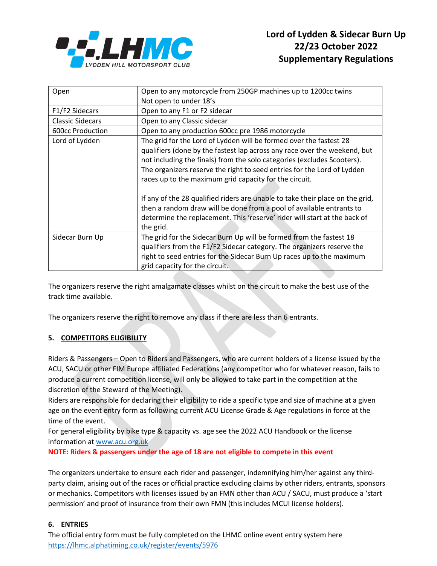

| Open                    | Open to any motorcycle from 250GP machines up to 1200cc twins                                                                                                                                                                                                                             |  |  |
|-------------------------|-------------------------------------------------------------------------------------------------------------------------------------------------------------------------------------------------------------------------------------------------------------------------------------------|--|--|
|                         | Not open to under 18's                                                                                                                                                                                                                                                                    |  |  |
| F1/F2 Sidecars          | Open to any F1 or F2 sidecar                                                                                                                                                                                                                                                              |  |  |
| <b>Classic Sidecars</b> | Open to any Classic sidecar                                                                                                                                                                                                                                                               |  |  |
| 600cc Production        | Open to any production 600cc pre 1986 motorcycle                                                                                                                                                                                                                                          |  |  |
| Lord of Lydden          | The grid for the Lord of Lydden will be formed over the fastest 28                                                                                                                                                                                                                        |  |  |
|                         | qualifiers (done by the fastest lap across any race over the weekend, but<br>not including the finals) from the solo categories (excludes Scooters).<br>The organizers reserve the right to seed entries for the Lord of Lydden<br>races up to the maximum grid capacity for the circuit. |  |  |
|                         | If any of the 28 qualified riders are unable to take their place on the grid,<br>then a random draw will be done from a pool of available entrants to<br>determine the replacement. This 'reserve' rider will start at the back of<br>the grid.                                           |  |  |
| Sidecar Burn Up         | The grid for the Sidecar Burn Up will be formed from the fastest 18<br>qualifiers from the F1/F2 Sidecar category. The organizers reserve the<br>right to seed entries for the Sidecar Burn Up races up to the maximum<br>grid capacity for the circuit.                                  |  |  |

The organizers reserve the right amalgamate classes whilst on the circuit to make the best use of the track time available.

The organizers reserve the right to remove any class if there are less than 6 entrants.

## **5. COMPETITORS ELIGIBILITY**

Riders & Passengers – Open to Riders and Passengers, who are current holders of a license issued by the ACU, SACU or other FIM Europe affiliated Federations (any competitor who for whatever reason, fails to produce a current competition license, will only be allowed to take part in the competition at the discretion of the Steward of the Meeting).

Riders are responsible for declaring their eligibility to ride a specific type and size of machine at a given age on the event entry form as following current ACU License Grade & Age regulations in force at the time of the event.

For general eligibility by bike type & capacity vs. age see the 2022 ACU Handbook or the license information a[t www.acu.org.uk](http://www.acu.org.uk/)

**NOTE: Riders & passengers under the age of 18 are not eligible to compete in this event**

The organizers undertake to ensure each rider and passenger, indemnifying him/her against any thirdparty claim, arising out of the races or official practice excluding claims by other riders, entrants, sponsors or mechanics. Competitors with licenses issued by an FMN other than ACU / SACU, must produce a 'start permission' and proof of insurance from their own FMN (this includes MCUI license holders).

# **6. ENTRIES**

The official entry form must be fully completed on the LHMC online event entry system here <https://lhmc.alphatiming.co.uk/register/events/5976>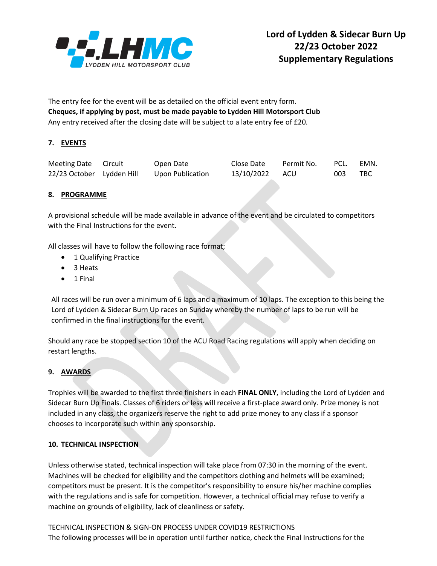

The entry fee for the event will be as detailed on the official event entry form. **Cheques, if applying by post, must be made payable to Lydden Hill Motorsport Club** Any entry received after the closing date will be subject to a late entry fee of £20.

# **7. EVENTS**

| Meeting Date Circuit      | Open Date        | Close Date     | Permit No. | PCL. | EMN. |
|---------------------------|------------------|----------------|------------|------|------|
| 22/23 October Lydden Hill | Upon Publication | 13/10/2022 ACU |            | 003  | TBC. |

## **8. PROGRAMME**

A provisional schedule will be made available in advance of the event and be circulated to competitors with the Final Instructions for the event.

All classes will have to follow the following race format;

- 1 Qualifying Practice
- 3 Heats
- 1 Final

All races will be run over a minimum of 6 laps and a maximum of 10 laps. The exception to this being the Lord of Lydden & Sidecar Burn Up races on Sunday whereby the number of laps to be run will be confirmed in the final instructions for the event.

Should any race be stopped section 10 of the ACU Road Racing regulations will apply when deciding on restart lengths.

## **9. AWARDS**

Trophies will be awarded to the first three finishers in each **FINAL ONLY**, including the Lord of Lydden and Sidecar Burn Up Finals. Classes of 6 riders or less will receive a first-place award only. Prize money is not included in any class, the organizers reserve the right to add prize money to any class if a sponsor chooses to incorporate such within any sponsorship.

## **10. TECHNICAL INSPECTION**

Unless otherwise stated, technical inspection will take place from 07:30 in the morning of the event. Machines will be checked for eligibility and the competitors clothing and helmets will be examined; competitors must be present. It is the competitor's responsibility to ensure his/her machine complies with the regulations and is safe for competition. However, a technical official may refuse to verify a machine on grounds of eligibility, lack of cleanliness or safety.

## TECHNICAL INSPECTION & SIGN-ON PROCESS UNDER COVID19 RESTRICTIONS

The following processes will be in operation until further notice, check the Final Instructions for the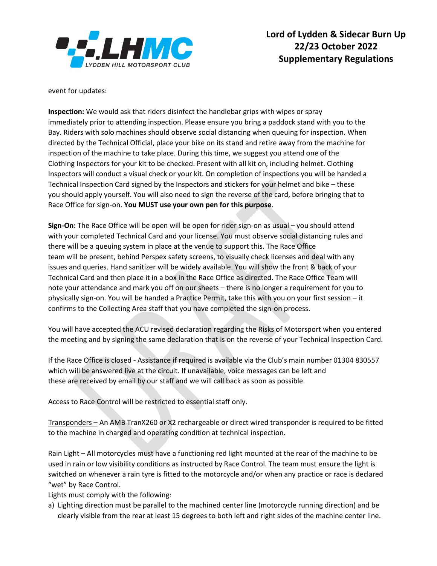

event for updates:

**Inspection:** We would ask that riders disinfect the handlebar grips with wipes or spray immediately prior to attending inspection. Please ensure you bring a paddock stand with you to the Bay. Riders with solo machines should observe social distancing when queuing for inspection. When directed by the Technical Official, place your bike on its stand and retire away from the machine for inspection of the machine to take place. During this time, we suggest you attend one of the Clothing Inspectors for your kit to be checked. Present with all kit on, including helmet. Clothing Inspectors will conduct a visual check or your kit. On completion of inspections you will be handed a Technical Inspection Card signed by the Inspectors and stickers for your helmet and bike – these you should apply yourself. You will also need to sign the reverse of the card, before bringing that to Race Office for sign-on. **You MUST use your own pen for this purpose**.

**Sign-On:** The Race Office will be open will be open for rider sign-on as usual – you should attend with your completed Technical Card and your license. You must observe social distancing rules and there will be a queuing system in place at the venue to support this. The Race Office team will be present, behind Perspex safety screens, to visually check licenses and deal with any issues and queries. Hand sanitizer will be widely available. You will show the front & back of your Technical Card and then place it in a box in the Race Office as directed. The Race Office Team will note your attendance and mark you off on our sheets – there is no longer a requirement for you to physically sign-on. You will be handed a Practice Permit, take this with you on your first session – it confirms to the Collecting Area staff that you have completed the sign-on process.

You will have accepted the ACU revised declaration regarding the Risks of Motorsport when you entered the meeting and by signing the same declaration that is on the reverse of your Technical Inspection Card.

If the Race Office is closed - Assistance if required is available via the Club's main number 01304 830557 which will be answered live at the circuit. If unavailable, voice messages can be left and these are received by email by our staff and we will call back as soon as possible.

Access to Race Control will be restricted to essential staff only.

Transponders – An AMB TranX260 or X2 rechargeable or direct wired transponder is required to be fitted to the machine in charged and operating condition at technical inspection.

Rain Light – All motorcycles must have a functioning red light mounted at the rear of the machine to be used in rain or low visibility conditions as instructed by Race Control. The team must ensure the light is switched on whenever a rain tyre is fitted to the motorcycle and/or when any practice or race is declared "wet" by Race Control.

Lights must comply with the following:

a) Lighting direction must be parallel to the machined center line (motorcycle running direction) and be clearly visible from the rear at least 15 degrees to both left and right sides of the machine center line.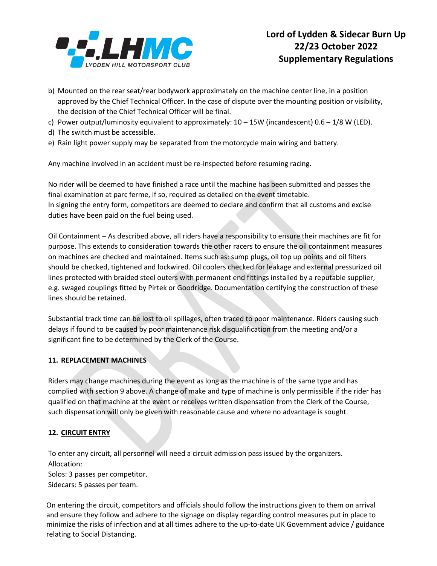

- b) Mounted on the rear seat/rear bodywork approximately on the machine center line, in a position approved by the Chief Technical Officer. In the case of dispute over the mounting position or visibility, the decision of the Chief Technical Officer will be final.
- c) Power output/luminosity equivalent to approximately:  $10 15W$  (incandescent)  $0.6 1/8 W$  (LED).
- d) The switch must be accessible.
- e) Rain light power supply may be separated from the motorcycle main wiring and battery.

Any machine involved in an accident must be re-inspected before resuming racing.

No rider will be deemed to have finished a race until the machine has been submitted and passes the final examination at parc ferme, if so, required as detailed on the event timetable. In signing the entry form, competitors are deemed to declare and confirm that all customs and excise duties have been paid on the fuel being used.

Oil Containment – As described above, all riders have a responsibility to ensure their machines are fit for purpose. This extends to consideration towards the other racers to ensure the oil containment measures on machines are checked and maintained. Items such as: sump plugs, oil top up points and oil filters should be checked, tightened and lockwired. Oil coolers checked for leakage and external pressurized oil lines protected with braided steel outers with permanent end fittings installed by a reputable supplier, e.g. swaged couplings fitted by Pirtek or Goodridge. Documentation certifying the construction of these lines should be retained.

Substantial track time can be lost to oil spillages, often traced to poor maintenance. Riders causing such delays if found to be caused by poor maintenance risk disqualification from the meeting and/or a significant fine to be determined by the Clerk of the Course.

#### **11. REPLACEMENT MACHINES**

Riders may change machines during the event as long as the machine is of the same type and has complied with section 9 above. A change of make and type of machine is only permissible if the rider has qualified on that machine at the event or receives written dispensation from the Clerk of the Course, such dispensation will only be given with reasonable cause and where no advantage is sought.

#### **12. CIRCUIT ENTRY**

To enter any circuit, all personnel will need a circuit admission pass issued by the organizers. Allocation:

Solos: 3 passes per competitor.

Sidecars: 5 passes per team.

On entering the circuit, competitors and officials should follow the instructions given to them on arrival and ensure they follow and adhere to the signage on display regarding control measures put in place to minimize the risks of infection and at all times adhere to the up-to-date UK Government advice / guidance relating to Social Distancing.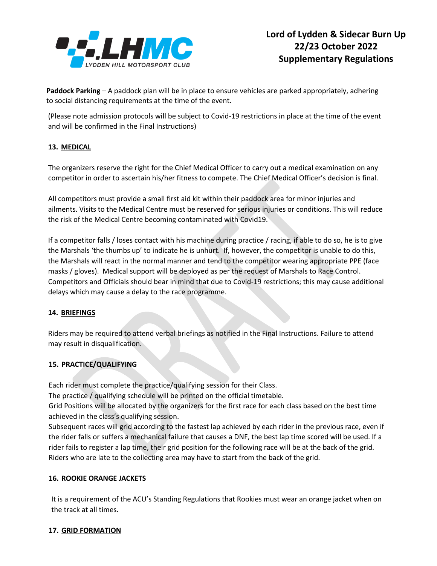

**Paddock Parking** – A paddock plan will be in place to ensure vehicles are parked appropriately, adhering to social distancing requirements at the time of the event.

(Please note admission protocols will be subject to Covid-19 restrictions in place at the time of the event and will be confirmed in the Final Instructions)

# **13. MEDICAL**

The organizers reserve the right for the Chief Medical Officer to carry out a medical examination on any competitor in order to ascertain his/her fitness to compete. The Chief Medical Officer's decision is final.

All competitors must provide a small first aid kit within their paddock area for minor injuries and ailments. Visits to the Medical Centre must be reserved for serious injuries or conditions. This will reduce the risk of the Medical Centre becoming contaminated with Covid19.

If a competitor falls / loses contact with his machine during practice / racing, if able to do so, he is to give the Marshals 'the thumbs up' to indicate he is unhurt. If, however, the competitor is unable to do this, the Marshals will react in the normal manner and tend to the competitor wearing appropriate PPE (face masks / gloves). Medical support will be deployed as per the request of Marshals to Race Control. Competitors and Officials should bear in mind that due to Covid-19 restrictions; this may cause additional delays which may cause a delay to the race programme.

## **14. BRIEFINGS**

Riders may be required to attend verbal briefings as notified in the Final Instructions. Failure to attend may result in disqualification.

# **15. PRACTICE/QUALIFYING**

Each rider must complete the practice/qualifying session for their Class.

The practice / qualifying schedule will be printed on the official timetable.

Grid Positions will be allocated by the organizers for the first race for each class based on the best time achieved in the class's qualifying session.

Subsequent races will grid according to the fastest lap achieved by each rider in the previous race, even if the rider falls or suffers a mechanical failure that causes a DNF, the best lap time scored will be used. If a rider fails to register a lap time, their grid position for the following race will be at the back of the grid. Riders who are late to the collecting area may have to start from the back of the grid.

## **16. ROOKIE ORANGE JACKETS**

It is a requirement of the ACU's Standing Regulations that Rookies must wear an orange jacket when on the track at all times.

## **17. GRID FORMATION**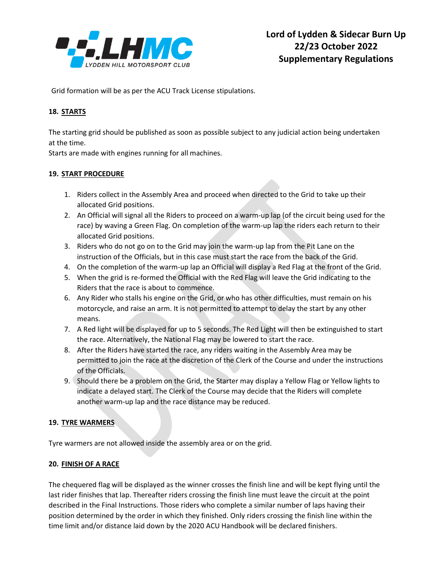

Grid formation will be as per the ACU Track License stipulations.

## **18. STARTS**

The starting grid should be published as soon as possible subject to any judicial action being undertaken at the time.

Starts are made with engines running for all machines.

#### **19. START PROCEDURE**

- 1. Riders collect in the Assembly Area and proceed when directed to the Grid to take up their allocated Grid positions.
- 2. An Official will signal all the Riders to proceed on a warm-up lap (of the circuit being used for the race) by waving a Green Flag. On completion of the warm-up lap the riders each return to their allocated Grid positions.
- 3. Riders who do not go on to the Grid may join the warm-up lap from the Pit Lane on the instruction of the Officials, but in this case must start the race from the back of the Grid.
- 4. On the completion of the warm-up lap an Official will display a Red Flag at the front of the Grid.
- 5. When the grid is re-formed the Official with the Red Flag will leave the Grid indicating to the Riders that the race is about to commence.
- 6. Any Rider who stalls his engine on the Grid, or who has other difficulties, must remain on his motorcycle, and raise an arm. It is not permitted to attempt to delay the start by any other means.
- 7. A Red light will be displayed for up to 5 seconds. The Red Light will then be extinguished to start the race. Alternatively, the National Flag may be lowered to start the race.
- 8. After the Riders have started the race, any riders waiting in the Assembly Area may be permitted to join the race at the discretion of the Clerk of the Course and under the instructions of the Officials.
- 9. Should there be a problem on the Grid, the Starter may display a Yellow Flag or Yellow lights to indicate a delayed start. The Clerk of the Course may decide that the Riders will complete another warm-up lap and the race distance may be reduced.

## **19. TYRE WARMERS**

Tyre warmers are not allowed inside the assembly area or on the grid.

#### **20. FINISH OF A RACE**

The chequered flag will be displayed as the winner crosses the finish line and will be kept flying until the last rider finishes that lap. Thereafter riders crossing the finish line must leave the circuit at the point described in the Final Instructions. Those riders who complete a similar number of laps having their position determined by the order in which they finished. Only riders crossing the finish line within the time limit and/or distance laid down by the 2020 ACU Handbook will be declared finishers.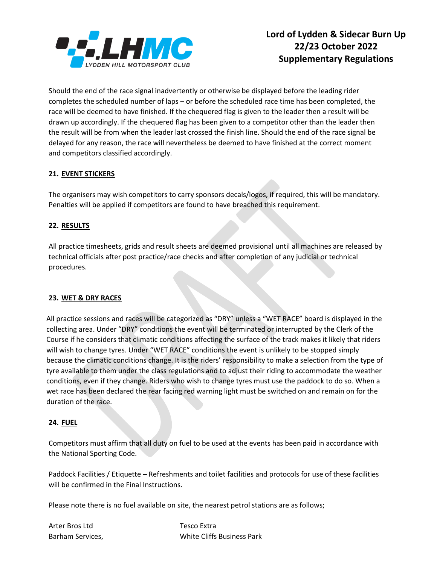

Should the end of the race signal inadvertently or otherwise be displayed before the leading rider completes the scheduled number of laps – or before the scheduled race time has been completed, the race will be deemed to have finished. If the chequered flag is given to the leader then a result will be drawn up accordingly. If the chequered flag has been given to a competitor other than the leader then the result will be from when the leader last crossed the finish line. Should the end of the race signal be delayed for any reason, the race will nevertheless be deemed to have finished at the correct moment and competitors classified accordingly.

## **21. EVENT STICKERS**

The organisers may wish competitors to carry sponsors decals/logos, if required, this will be mandatory. Penalties will be applied if competitors are found to have breached this requirement.

#### **22. RESULTS**

All practice timesheets, grids and result sheets are deemed provisional until all machines are released by technical officials after post practice/race checks and after completion of any judicial or technical procedures.

#### **23. WET & DRY RACES**

All practice sessions and races will be categorized as "DRY" unless a "WET RACE" board is displayed in the collecting area. Under "DRY" conditions the event will be terminated or interrupted by the Clerk of the Course if he considers that climatic conditions affecting the surface of the track makes it likely that riders will wish to change tyres. Under "WET RACE" conditions the event is unlikely to be stopped simply because the climatic conditions change. It is the riders' responsibility to make a selection from the type of tyre available to them under the class regulations and to adjust their riding to accommodate the weather conditions, even if they change. Riders who wish to change tyres must use the paddock to do so. When a wet race has been declared the rear facing red warning light must be switched on and remain on for the duration of the race.

#### **24. FUEL**

Competitors must affirm that all duty on fuel to be used at the events has been paid in accordance with the National Sporting Code.

Paddock Facilities / Etiquette – Refreshments and toilet facilities and protocols for use of these facilities will be confirmed in the Final Instructions.

Please note there is no fuel available on site, the nearest petrol stations are as follows;

Arter Bros Ltd Tesco Extra

Barham Services, White Cliffs Business Park